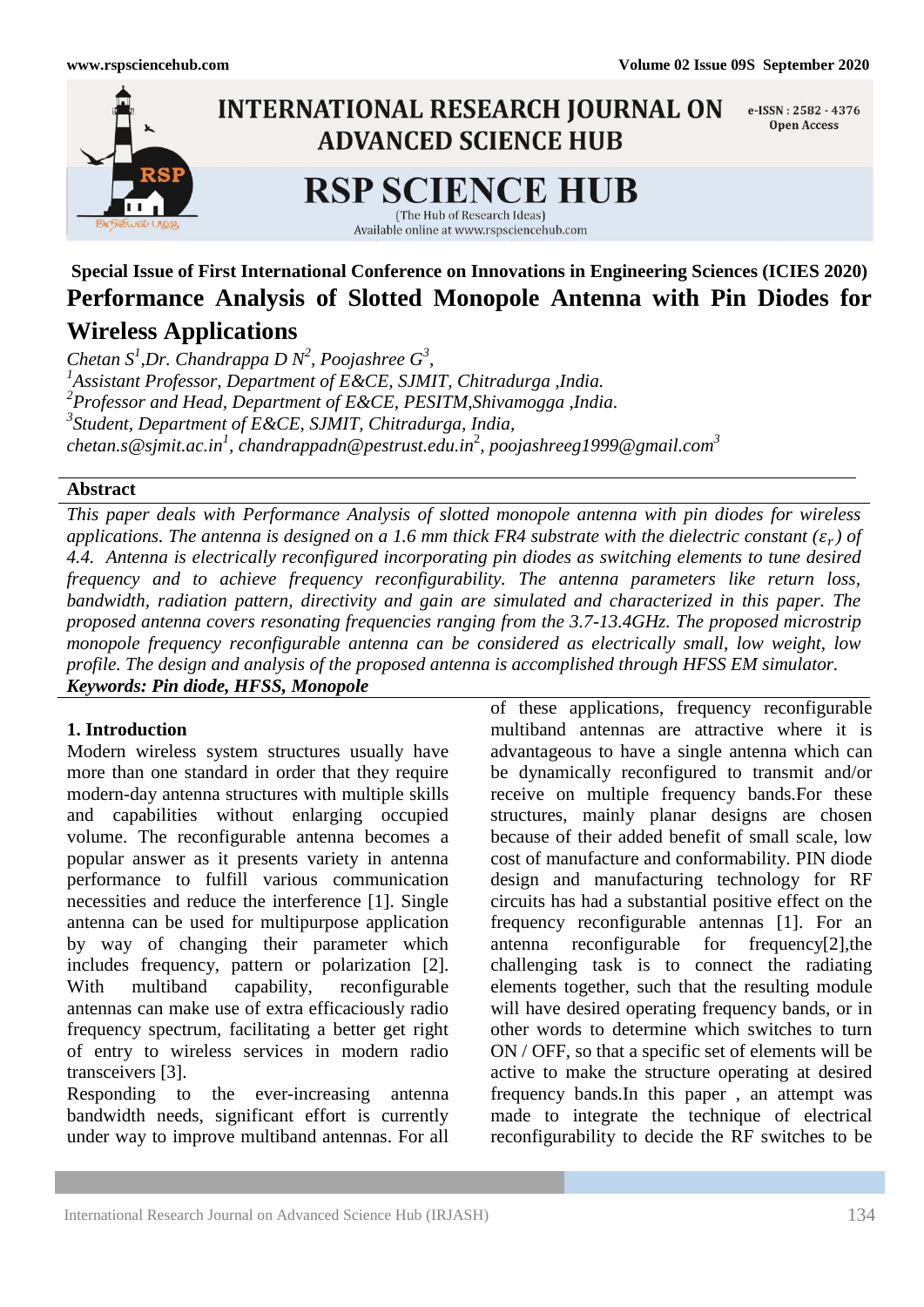

**Special Issue of First International Conference on Innovations in Engineering Sciences (ICIES 2020) Performance Analysis of Slotted Monopole Antenna with Pin Diodes for Wireless Applications**

*Chetan*  $S^1$ , *Dr. Chandrappa D N<sup>2</sup>*, *Poojashree G*<sup>3</sup>, *1 Assistant Professor, Department of E&CE, SJMIT, Chitradurga ,India. 2 Professor and Head, Department of E&CE, PESITM,Shivamogga ,India. 3 Student, Department of E&CE, SJMIT, Chitradurga, India, [chetan.s@sjmit.ac.in](mailto:chetan.s@sjmit.ac.in1)<sup>1</sup> , [chandrappadn@pestrust.edu.in](mailto:chandrappadn@pestrust.edu.in2)*<sup>2</sup> *, poojashreeg1999@gmail.com<sup>3</sup>*

## **Abstract**

*This paper deals with Performance Analysis of slotted monopole antenna with pin diodes for wireless*  applications. The antenna is designed on a 1.6 mm thick FR4 substrate with the dielectric constant  $(\varepsilon_r)$  of *4.4. Antenna is electrically reconfigured incorporating pin diodes as switching elements to tune desired frequency and to achieve frequency reconfigurability. The antenna parameters like return loss, bandwidth, radiation pattern, directivity and gain are simulated and characterized in this paper. The proposed antenna covers resonating frequencies ranging from the 3.7-13.4GHz. The proposed microstrip monopole frequency reconfigurable antenna can be considered as electrically small, low weight, low profile. The design and analysis of the proposed antenna is accomplished through HFSS EM simulator. Keywords: Pin diode, HFSS, Monopole*

## **1. Introduction**

Modern wireless system structures usually have more than one standard in order that they require modern-day antenna structures with multiple skills and capabilities without enlarging occupied volume. The reconfigurable antenna becomes a popular answer as it presents variety in antenna performance to fulfill various communication necessities and reduce the interference [1]. Single antenna can be used for multipurpose application by way of changing their parameter which includes frequency, pattern or polarization [2]. With multiband capability, reconfigurable antennas can make use of extra efficaciously radio frequency spectrum, facilitating a better get right of entry to wireless services in modern radio transceivers [3].

Responding to the ever-increasing antenna bandwidth needs, significant effort is currently under way to improve multiband antennas. For all

of these applications, frequency reconfigurable multiband antennas are attractive where it is advantageous to have a single antenna which can be dynamically reconfigured to transmit and/or receive on multiple frequency bands.For these structures, mainly planar designs are chosen because of their added benefit of small scale, low cost of manufacture and conformability. PIN diode design and manufacturing technology for RF circuits has had a substantial positive effect on the frequency reconfigurable antennas [1]. For an antenna reconfigurable for frequency[2],the challenging task is to connect the radiating elements together, such that the resulting module will have desired operating frequency bands, or in other words to determine which switches to turn ON / OFF, so that a specific set of elements will be active to make the structure operating at desired frequency bands.In this paper , an attempt was made to integrate the technique of electrical reconfigurability to decide the RF switches to be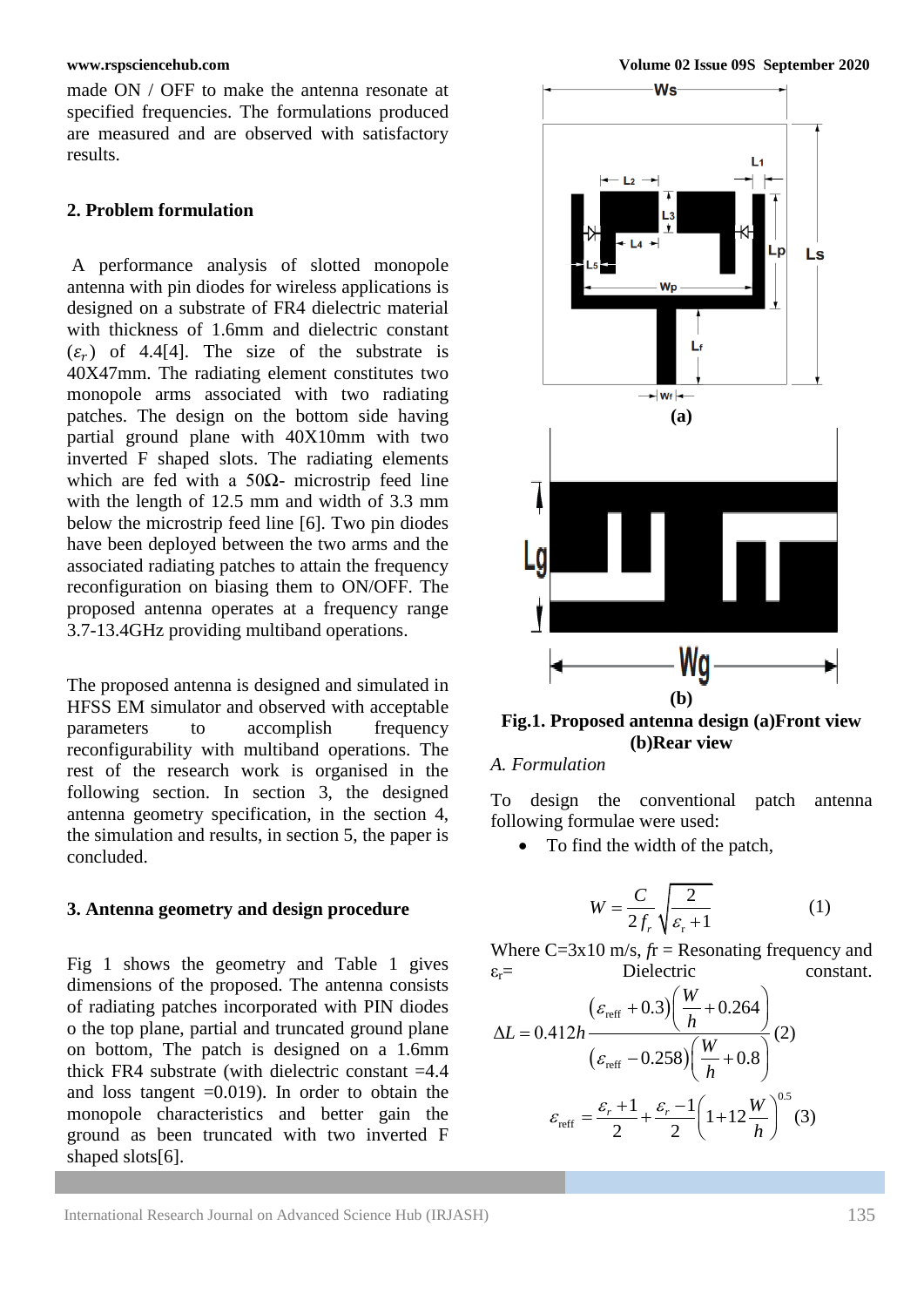made ON / OFF to make the antenna resonate at specified frequencies. The formulations produced are measured and are observed with satisfactory results.

### **2. Problem formulation**

A performance analysis of slotted monopole antenna with pin diodes for wireless applications is designed on a substrate of FR4 dielectric material with thickness of 1.6mm and dielectric constant  $(\varepsilon_r)$  of 4.4[4]. The size of the substrate is 40X47mm. The radiating element constitutes two monopole arms associated with two radiating patches. The design on the bottom side having partial ground plane with 40X10mm with two inverted F shaped slots. The radiating elements which are fed with a 50 $\Omega$ - microstrip feed line with the length of 12.5 mm and width of 3.3 mm below the microstrip feed line [6]. Two pin diodes have been deployed between the two arms and the associated radiating patches to attain the frequency reconfiguration on biasing them to ON/OFF. The proposed antenna operates at a frequency range 3.7-13.4GHz providing multiband operations.

The proposed antenna is designed and simulated in HFSS EM simulator and observed with acceptable parameters to accomplish frequency reconfigurability with multiband operations. The rest of the research work is organised in the following section. In section 3, the designed antenna geometry specification, in the section 4, the simulation and results, in section 5, the paper is concluded.

### **3. Antenna geometry and design procedure**

Fig 1 shows the geometry and Table 1 gives dimensions of the proposed. The antenna consists of radiating patches incorporated with PIN diodes o the top plane, partial and truncated ground plane on bottom, The patch is designed on a 1.6mm thick FR4 substrate (with dielectric constant  $=4.4$ ) and loss tangent  $=0.019$ . In order to obtain the monopole characteristics and better gain the ground as been truncated with two inverted F shaped slots[6].



**Fig.1. Proposed antenna design (a)Front view (b)Rear view**

## *A. Formulation*

To design the conventional patch antenna following formulae were used:

• To find the width of the patch,

$$
W = \frac{C}{2f_r} \sqrt{\frac{2}{\varepsilon_r + 1}}
$$
 (1)

Where  $C=3x10$  m/s,  $fr =$  Resonating frequency and  $\varepsilon_r$ = Dielectric constant.

$$
\varepsilon_{\text{r}} = \text{Dielectric}
$$
\nc  
\n
$$
\Delta L = 0.412h \frac{(\varepsilon_{\text{refr}} + 0.3) \left(\frac{W}{h} + 0.264\right)}{(\varepsilon_{\text{refr}} - 0.258) \left(\frac{W}{h} + 0.8\right)} (2)
$$
\n
$$
\varepsilon_{\text{refr}} = \frac{\varepsilon_r + 1}{2} + \frac{\varepsilon_r - 1}{2} \left(1 + 12 \frac{W}{h}\right)^{0.5} (3)
$$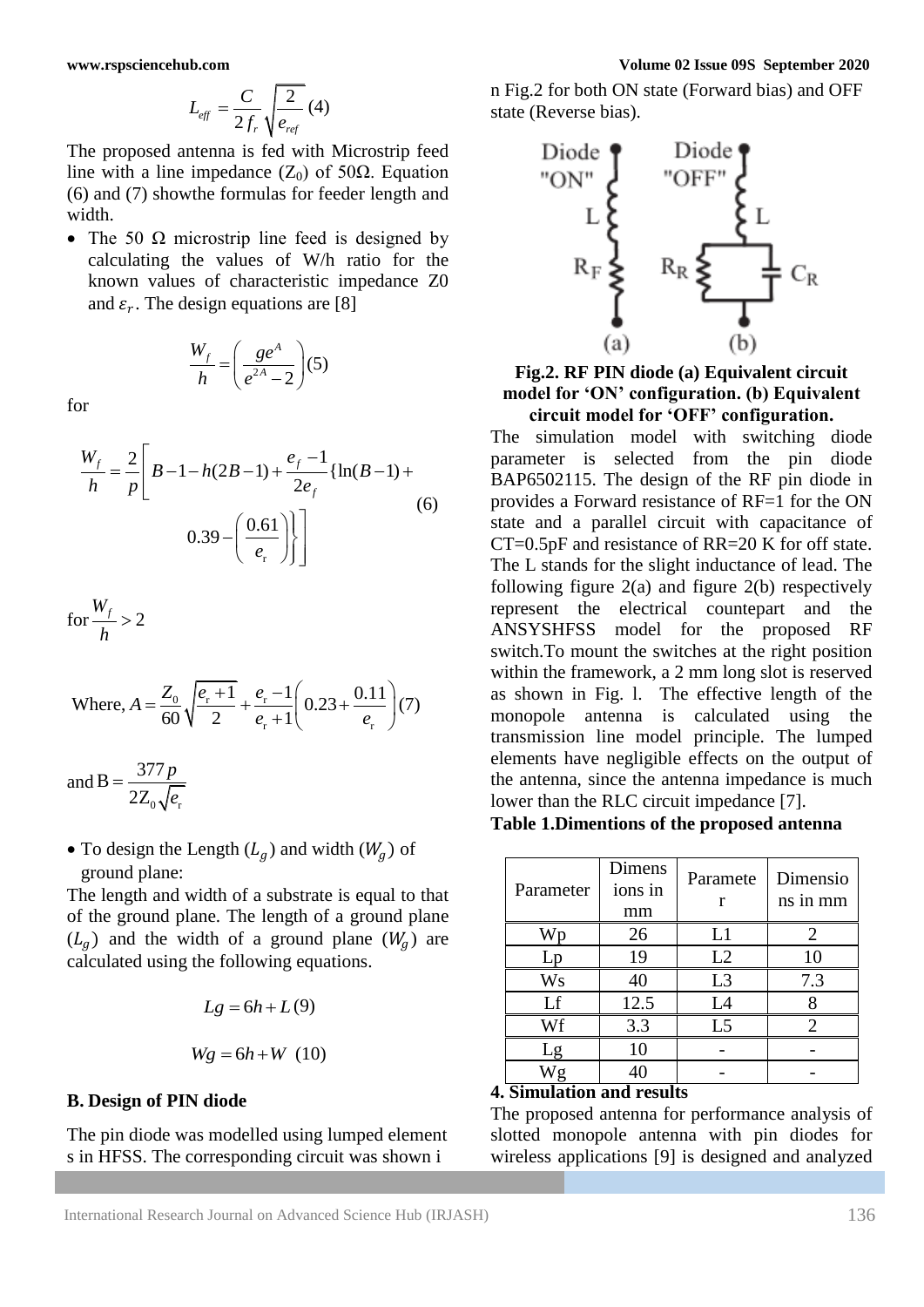$$
L_{\text{eff}} = \frac{C}{2f_r} \sqrt{\frac{2}{e_{\text{ref}}}} \, (4)
$$

The proposed antenna is fed with Microstrip feed line with a line impedance  $(Z_0)$  of 50 $\Omega$ . Equation (6) and (7) showthe formulas for feeder length and width.

• The 50  $\Omega$  microstrip line feed is designed by calculating the values of W/h ratio for the known values of characteristic impedance Z0 and  $\varepsilon_r$ . The design equations are [8]

$$
\frac{W_f}{h} = \left(\frac{ge^A}{e^{2A}-2}\right)(5)
$$

for

$$
\frac{W_f}{h} = \frac{2}{p} \left[ B - 1 - h(2B - 1) + \frac{e_f - 1}{2e_f} \{ \ln(B - 1) + \frac{0.39 - \left( \frac{0.61}{e_r} \right) \} \right]
$$
\n(6)

$$
\text{for } \frac{W_f}{h} > 2
$$

Where, 
$$
A = \frac{Z_0}{60} \sqrt{\frac{e_r + 1}{2}} + \frac{e_r - 1}{e_r + 1} \left( 0.23 + \frac{0.11}{e_r} \right) (7)
$$

and  $0$   $N$   $c$  r  $B = \frac{377}{1}$ 2Z *p e*  $=$ 

• To design the Length  $(L_q)$  and width  $(W_q)$  of ground plane:

The length and width of a substrate is equal to that of the ground plane. The length of a ground plane  $(L_g)$  and the width of a ground plane  $(W_g)$  are calculated using the following equations.

$$
Lg = 6h + L(9)
$$
  

$$
Wg = 6h + W (10)
$$

### **B. Design of PIN diode**

The pin diode was modelled using lumped element s in HFSS. The corresponding circuit was shown i

n Fig.2 for both ON state (Forward bias) and OFF state (Reverse bias).



**Fig.2. RF PIN diode (a) Equivalent circuit model for 'ON' configuration. (b) Equivalent circuit model for 'OFF' configuration.**

 $L_3 = \frac{C_3}{2f_1} \sqrt{\frac{1}{e_{\pi}}}$ <br>
The proposed accounts interval with Coloration field<br>
The spin distribution for Coloration Coloration Field<br>
(6) and 7) South Counter (*A*) (Coloration Coloration Coloration Coloration Colo The simulation model with switching diode parameter is selected from the pin diode BAP6502115. The design of the RF pin diode in provides a Forward resistance of RF=1 for the ON state and a parallel circuit with capacitance of CT=0.5pF and resistance of RR=20 K for off state. The L stands for the slight inductance of lead. The following figure  $2(a)$  and figure  $2(b)$  respectively represent the electrical countepart and the ANSYSHFSS model for the proposed RF switch.To mount the switches at the right position within the framework, a 2 mm long slot is reserved as shown in Fig. l. The effective length of the monopole antenna is calculated using the transmission line model principle. The lumped elements have negligible effects on the output of the antenna, since the antenna impedance is much lower than the RLC circuit impedance [7].

# **Table 1.Dimentions of the proposed antenna**

| Parameter           | Dimens<br>ions in<br>mm | Paramete<br>r  | Dimensio<br>ns in mm |
|---------------------|-------------------------|----------------|----------------------|
| Wn                  | 26                      | L1             |                      |
| Lp                  | 19                      | L2             | 10                   |
| $\rm W\rm s$        | 40                      | L <sub>3</sub> | 7.3                  |
| Lf                  | 12.5                    | L4             |                      |
| Wf                  | 3.3                     | L <sub>5</sub> |                      |
| Lg                  | 10                      |                |                      |
| Wg<br>r.<br>$\cdot$ | 40<br>$\mathbf{L}$      |                |                      |

### **4. Simulation and results**

The proposed antenna for performance analysis of slotted monopole antenna with pin diodes for wireless applications [9] is designed and analyzed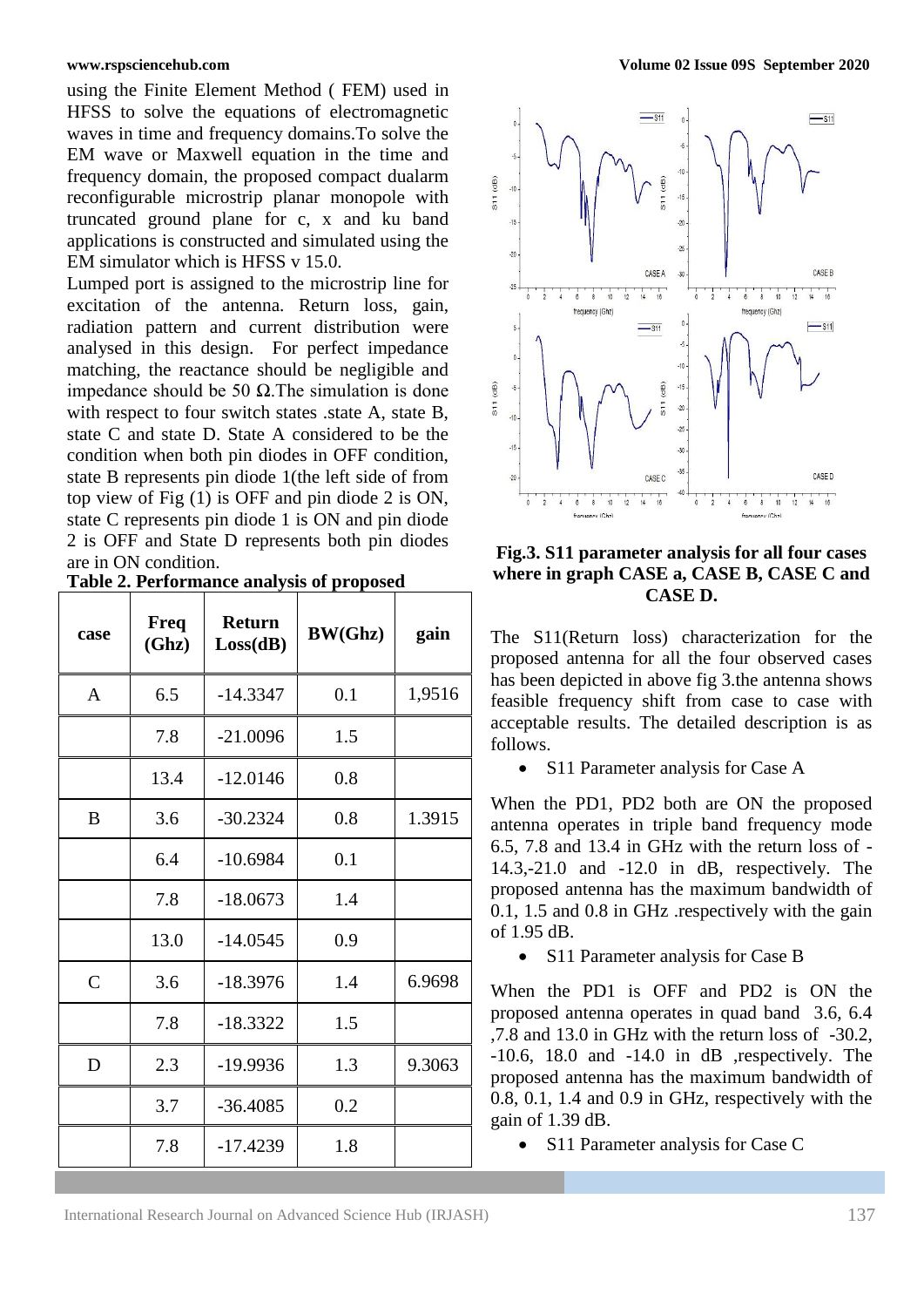using the Finite Element Method ( FEM) used in HFSS to solve the equations of electromagnetic waves in time and frequency domains.To solve the EM wave or Maxwell equation in the time and frequency domain, the proposed compact dualarm reconfigurable microstrip planar monopole with truncated ground plane for c, x and ku band applications is constructed and simulated using the EM simulator which is HFSS v 15.0.

Lumped port is assigned to the microstrip line for excitation of the antenna. Return loss, gain, radiation pattern and current distribution were analysed in this design. For perfect impedance matching, the reactance should be negligible and impedance should be 50 Ω.The simulation is done with respect to four switch states .state A, state B, state C and state D. State A considered to be the condition when both pin diodes in OFF condition, state B represents pin diode 1(the left side of from top view of Fig (1) is OFF and pin diode 2 is ON, state C represents pin diode 1 is ON and pin diode 2 is OFF and State D represents both pin diodes are in ON condition.

| case           | <b>Freq</b><br>(Ghz) | <b>Return</b><br>Loss(dB) | <b>BW(Ghz)</b> | gain   |
|----------------|----------------------|---------------------------|----------------|--------|
| $\overline{A}$ | 6.5                  | $-14.3347$                | 0.1            | 1,9516 |
|                | 7.8                  | $-21.0096$                | 1.5            |        |
|                | 13.4                 | $-12.0146$                | 0.8            |        |
| B              | 3.6                  | $-30.2324$                | 0.8            | 1.3915 |
|                | 6.4                  | $-10.6984$                | 0.1            |        |
|                | 7.8                  | $-18.0673$                | 1.4            |        |
|                | 13.0                 | $-14.0545$                | 0.9            |        |
| $\mathsf{C}$   | 3.6                  | $-18.3976$                | 1.4            | 6.9698 |
|                | 7.8                  | $-18.3322$                | 1.5            |        |
| D              | 2.3                  | $-19.9936$                | 1.3            | 9.3063 |
|                | 3.7                  | $-36.4085$                | 0.2            |        |
|                | 7.8                  | $-17.4239$                | 1.8            |        |

**Table 2. Performance analysis of proposed**



# **Fig.3. S11 parameter analysis for all four cases where in graph CASE a, CASE B, CASE C and CASE D.**

The S11(Return loss) characterization for the proposed antenna for all the four observed cases has been depicted in above fig 3.the antenna shows feasible frequency shift from case to case with acceptable results. The detailed description is as follows.

• S11 Parameter analysis for Case A

When the PD1, PD2 both are ON the proposed antenna operates in triple band frequency mode 6.5, 7.8 and 13.4 in GHz with the return loss of - 14.3,-21.0 and -12.0 in dB, respectively. The proposed antenna has the maximum bandwidth of 0.1, 1.5 and 0.8 in GHz .respectively with the gain of 1.95 dB.

• S11 Parameter analysis for Case B

When the PD1 is OFF and PD2 is ON the proposed antenna operates in quad band 3.6, 6.4 ,7.8 and 13.0 in GHz with the return loss of -30.2, -10.6, 18.0 and -14.0 in dB ,respectively. The proposed antenna has the maximum bandwidth of 0.8, 0.1, 1.4 and 0.9 in GHz, respectively with the gain of 1.39 dB.

• S11 Parameter analysis for Case C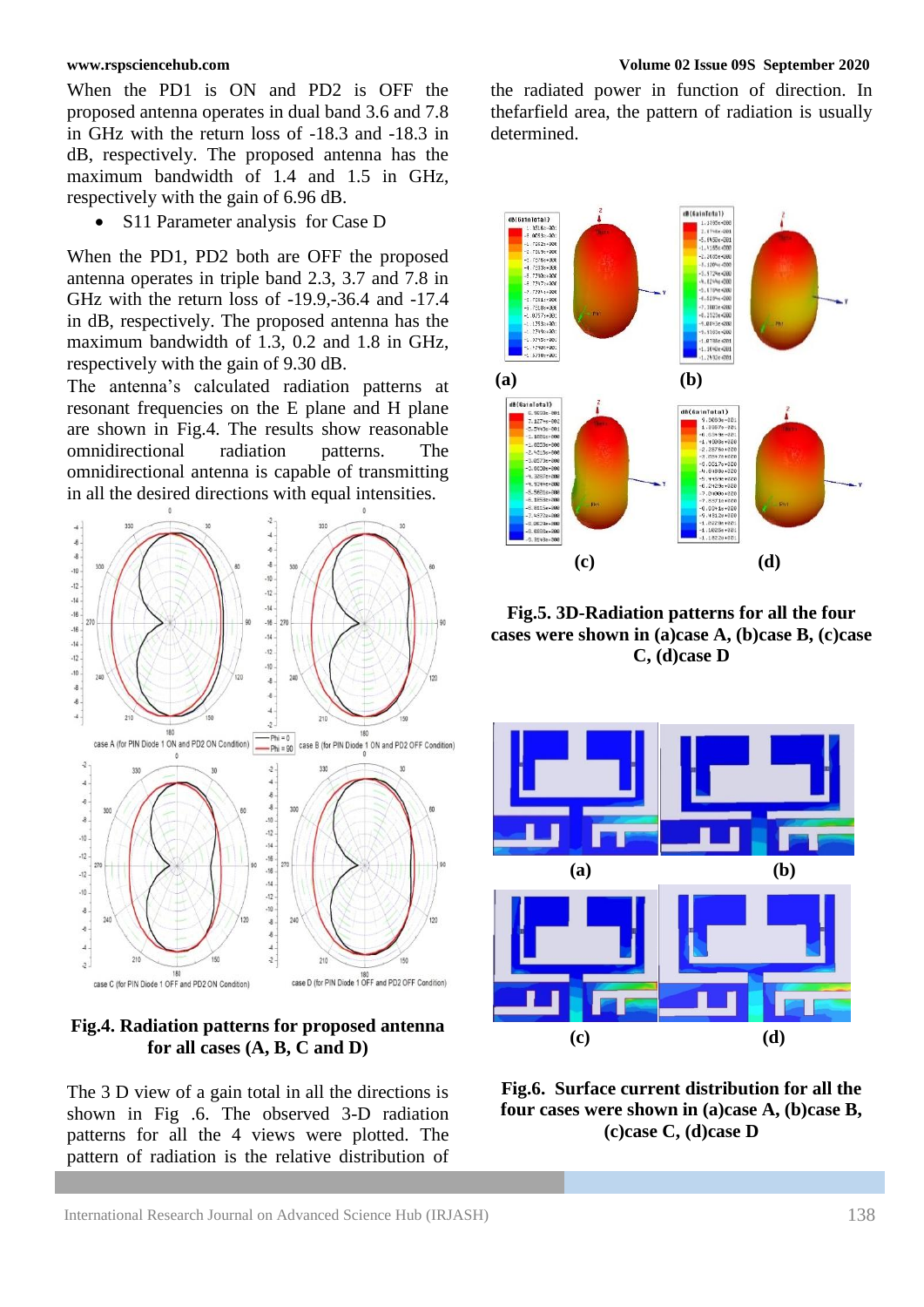When the PD1 is ON and PD2 is OFF the proposed antenna operates in dual band 3.6 and 7.8 in GHz with the return loss of -18.3 and -18.3 in dB, respectively. The proposed antenna has the maximum bandwidth of 1.4 and 1.5 in GHz, respectively with the gain of 6.96 dB.

S11 Parameter analysis for Case D

When the PD1, PD2 both are OFF the proposed antenna operates in triple band 2.3, 3.7 and 7.8 in GHz with the return loss of -19.9,-36.4 and -17.4 in dB, respectively. The proposed antenna has the maximum bandwidth of 1.3, 0.2 and 1.8 in GHz, respectively with the gain of 9.30 dB.

The antenna's calculated radiation patterns at resonant frequencies on the E plane and H plane are shown in Fig.4. The results show reasonable omnidirectional radiation patterns. The omnidirectional antenna is capable of transmitting in all the desired directions with equal intensities.



**Fig.4. Radiation patterns for proposed antenna for all cases (A, B, C and D)**

The 3 D view of a gain total in all the directions is shown in Fig .6. The observed 3-D radiation patterns for all the 4 views were plotted. The pattern of radiation is the relative distribution of the radiated power in function of direction. In thefarfield area, the pattern of radiation is usually determined.



**Fig.5. 3D-Radiation patterns for all the four cases were shown in (a)case A, (b)case B, (c)case C, (d)case D**



**Fig.6. Surface current distribution for all the four cases were shown in (a)case A, (b)case B, (c)case C, (d)case D**